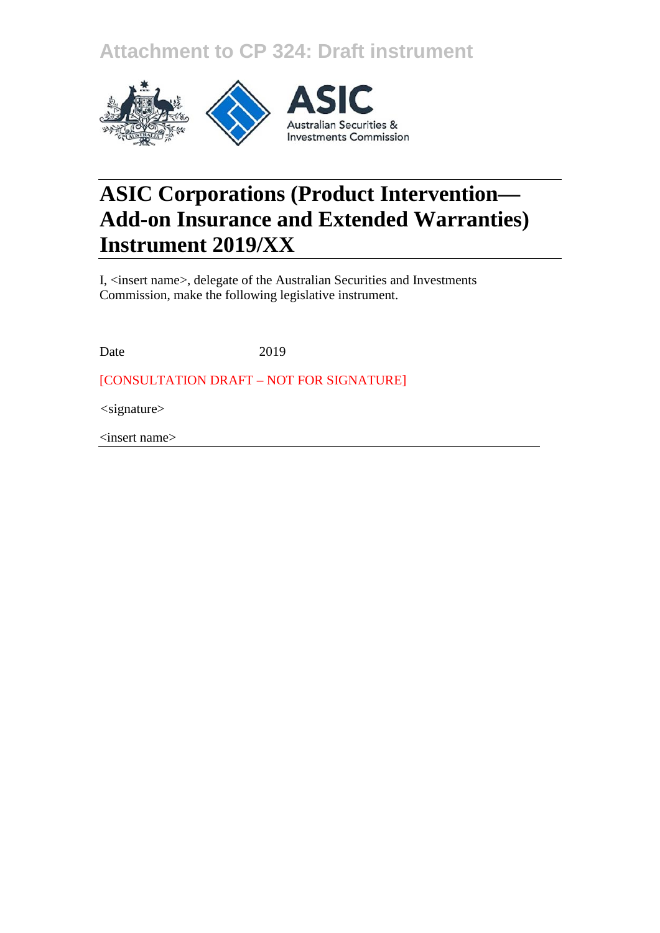**Attachment to CP 324: Draft instrument**



# **ASIC Corporations (Product Intervention— Add-on Insurance and Extended Warranties) Instrument 2019/XX**

I, <insert name>, delegate of the Australian Securities and Investments Commission, make the following legislative instrument.

Date 2019

[CONSULTATION DRAFT – NOT FOR SIGNATURE]

*<*signature>

<insert name>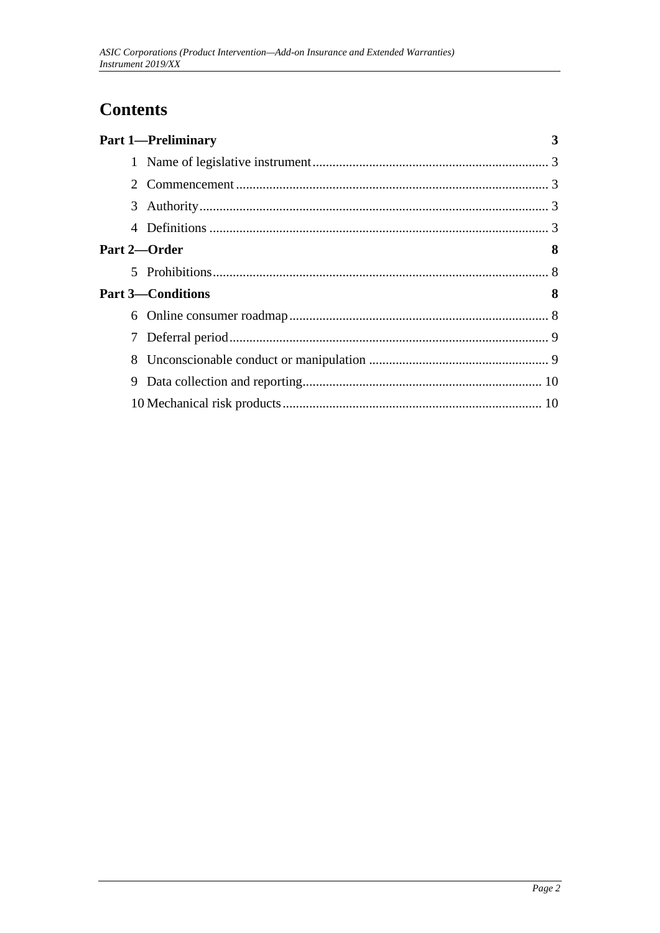## **Contents**

|                       | <b>Part 1-Preliminary</b> | 3 |
|-----------------------|---------------------------|---|
|                       |                           |   |
| $\mathcal{D}_{\cdot}$ |                           |   |
|                       |                           |   |
| 4                     |                           |   |
| Part 2-Order          |                           | 8 |
| 5.                    |                           |   |
|                       | <b>Part 3—Conditions</b>  | 8 |
| 6                     |                           |   |
| 7                     |                           |   |
| 8.                    |                           |   |
| 9                     |                           |   |
|                       |                           |   |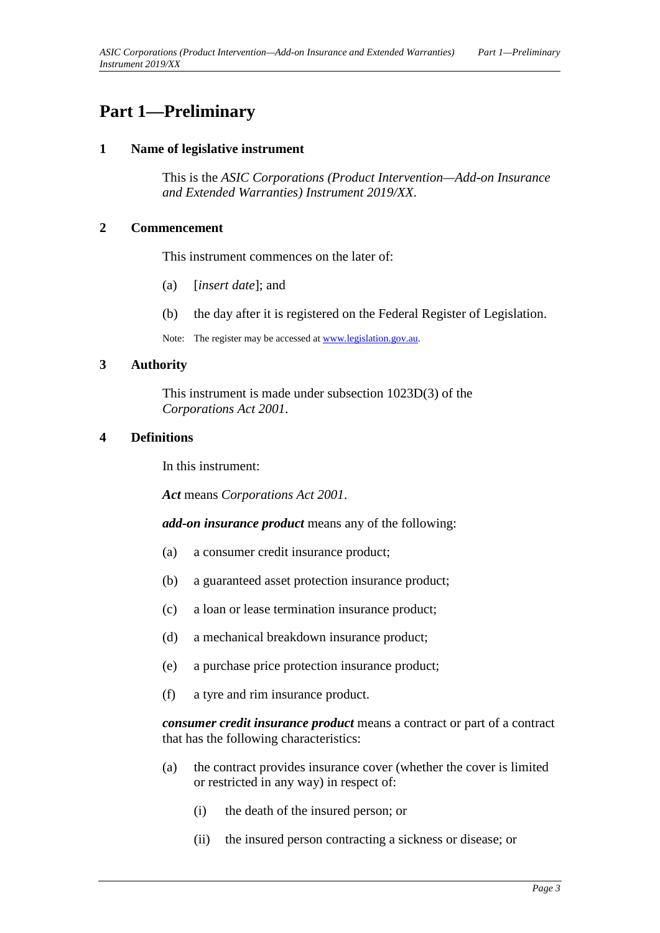### <span id="page-2-1"></span><span id="page-2-0"></span>**Part 1—Preliminary**

#### **1 Name of legislative instrument**

This is the *ASIC Corporations (Product Intervention—Add-on Insurance and Extended Warranties) Instrument 2019/XX*.

#### <span id="page-2-2"></span>**2 Commencement**

This instrument commences on the later of:

- (a) [*insert date*]; and
- (b) the day after it is registered on the Federal Register of Legislation.

Note: The register may be accessed a[t www.legislation.gov.au.](http://www.legislation.gov.au/)

#### <span id="page-2-3"></span>**3 Authority**

This instrument is made under subsection 1023D(3) of the *Corporations Act 2001*.

#### <span id="page-2-4"></span>**4 Definitions**

In this instrument:

*Act* means *Corporations Act 2001*.

*add-on insurance product* means any of the following:

- (a) a consumer credit insurance product;
- (b) a guaranteed asset protection insurance product;
- (c) a loan or lease termination insurance product;
- (d) a mechanical breakdown insurance product;
- (e) a purchase price protection insurance product;
- (f) a tyre and rim insurance product.

*consumer credit insurance product* means a contract or part of a contract that has the following characteristics:

- (a) the contract provides insurance cover (whether the cover is limited or restricted in any way) in respect of:
	- (i) the death of the insured person; or
	- (ii) the insured person contracting a sickness or disease; or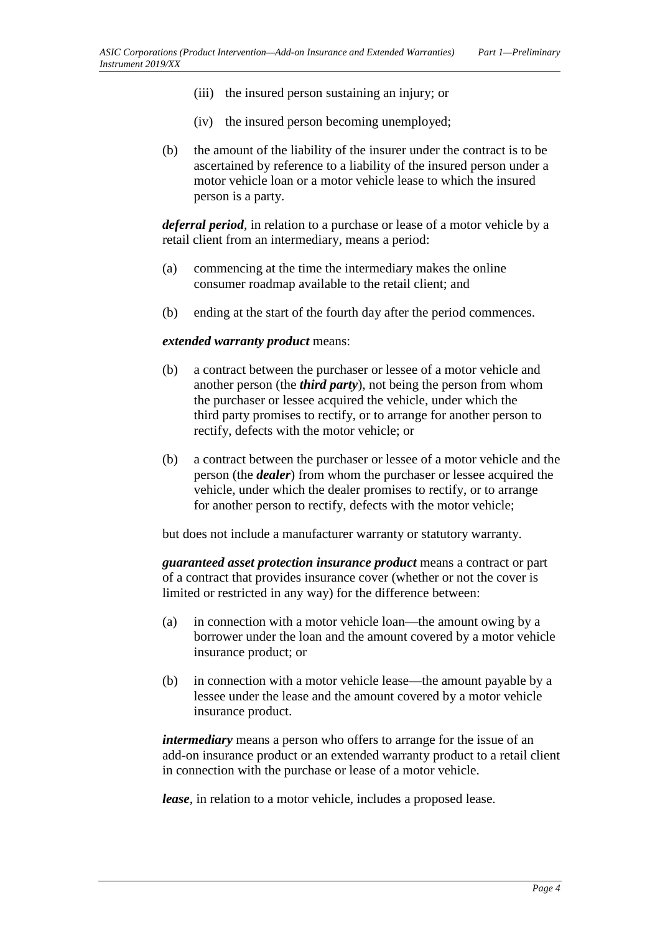- (iii) the insured person sustaining an injury; or
- (iv) the insured person becoming unemployed;
- (b) the amount of the liability of the insurer under the contract is to be ascertained by reference to a liability of the insured person under a motor vehicle loan or a motor vehicle lease to which the insured person is a party.

*deferral period*, in relation to a purchase or lease of a motor vehicle by a retail client from an intermediary, means a period:

- (a) commencing at the time the intermediary makes the online consumer roadmap available to the retail client; and
- (b) ending at the start of the fourth day after the period commences.

#### *extended warranty product* means:

- (b) a contract between the purchaser or lessee of a motor vehicle and another person (the *third party*), not being the person from whom the purchaser or lessee acquired the vehicle, under which the third party promises to rectify, or to arrange for another person to rectify, defects with the motor vehicle; or
- (b) a contract between the purchaser or lessee of a motor vehicle and the person (the *dealer*) from whom the purchaser or lessee acquired the vehicle, under which the dealer promises to rectify, or to arrange for another person to rectify, defects with the motor vehicle;

but does not include a manufacturer warranty or statutory warranty.

*guaranteed asset protection insurance product* means a contract or part of a contract that provides insurance cover (whether or not the cover is limited or restricted in any way) for the difference between:

- (a) in connection with a motor vehicle loan—the amount owing by a borrower under the loan and the amount covered by a motor vehicle insurance product; or
- (b) in connection with a motor vehicle lease—the amount payable by a lessee under the lease and the amount covered by a motor vehicle insurance product.

*intermediary* means a person who offers to arrange for the issue of an add-on insurance product or an extended warranty product to a retail client in connection with the purchase or lease of a motor vehicle.

*lease*, in relation to a motor vehicle, includes a proposed lease.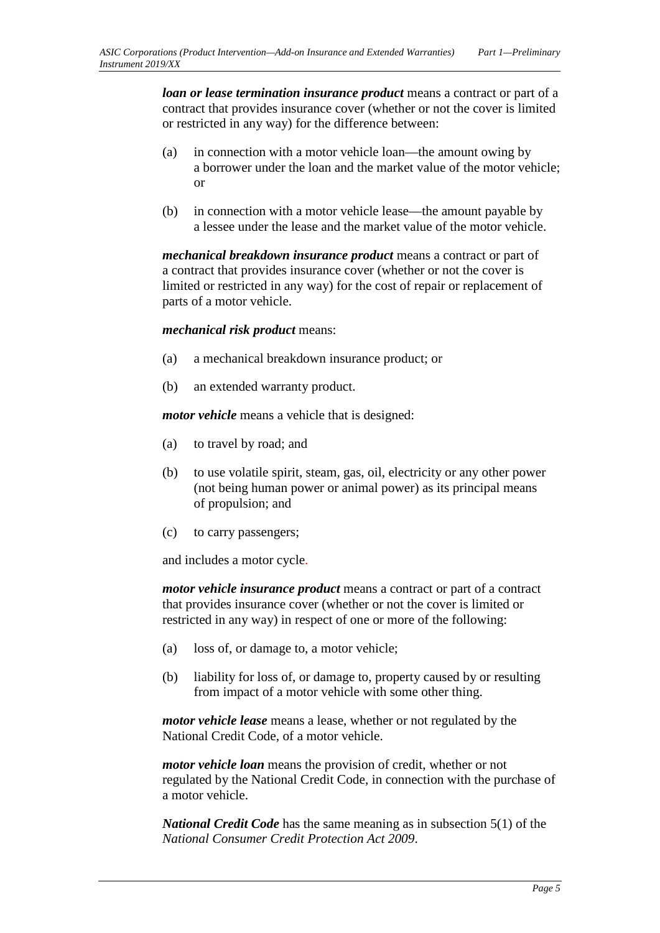*loan or lease termination insurance product* means a contract or part of a contract that provides insurance cover (whether or not the cover is limited or restricted in any way) for the difference between:

- (a) in connection with a motor vehicle loan—the amount owing by a borrower under the loan and the market value of the motor vehicle; or
- (b) in connection with a motor vehicle lease—the amount payable by a lessee under the lease and the market value of the motor vehicle.

*mechanical breakdown insurance product* means a contract or part of a contract that provides insurance cover (whether or not the cover is limited or restricted in any way) for the cost of repair or replacement of parts of a motor vehicle.

#### *mechanical risk product* means:

- (a) a mechanical breakdown insurance product; or
- (b) an extended warranty product.

*motor vehicle* means a vehicle that is designed:

- (a) to travel by road; and
- (b) to use volatile spirit, steam, gas, oil, electricity or any other power (not being human power or animal power) as its principal means of propulsion; and
- (c) to carry passengers;

and includes a motor cycle.

*motor vehicle insurance product* means a contract or part of a contract that provides insurance cover (whether or not the cover is limited or restricted in any way) in respect of one or more of the following:

- (a) loss of, or damage to, a motor vehicle;
- (b) liability for loss of, or damage to, property caused by or resulting from impact of a motor vehicle with some other thing.

*motor vehicle lease* means a lease, whether or not regulated by the National Credit Code, of a motor vehicle.

*motor vehicle loan* means the provision of credit, whether or not regulated by the National Credit Code, in connection with the purchase of a motor vehicle.

*National Credit Code* has the same meaning as in subsection 5(1) of the *National Consumer Credit Protection Act 2009*.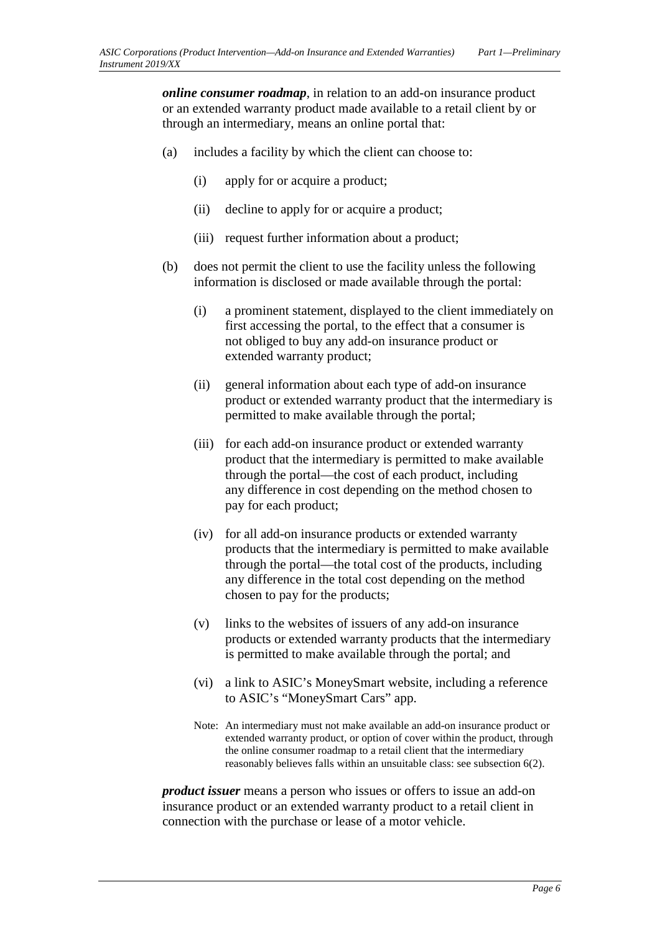*online consumer roadmap*, in relation to an add-on insurance product or an extended warranty product made available to a retail client by or through an intermediary, means an online portal that:

- (a) includes a facility by which the client can choose to:
	- (i) apply for or acquire a product;
	- (ii) decline to apply for or acquire a product;
	- (iii) request further information about a product;
- (b) does not permit the client to use the facility unless the following information is disclosed or made available through the portal:
	- (i) a prominent statement, displayed to the client immediately on first accessing the portal, to the effect that a consumer is not obliged to buy any add-on insurance product or extended warranty product;
	- (ii) general information about each type of add-on insurance product or extended warranty product that the intermediary is permitted to make available through the portal;
	- (iii) for each add-on insurance product or extended warranty product that the intermediary is permitted to make available through the portal—the cost of each product, including any difference in cost depending on the method chosen to pay for each product;
	- (iv) for all add-on insurance products or extended warranty products that the intermediary is permitted to make available through the portal—the total cost of the products, including any difference in the total cost depending on the method chosen to pay for the products;
	- (v) links to the websites of issuers of any add-on insurance products or extended warranty products that the intermediary is permitted to make available through the portal; and
	- (vi) a link to ASIC's MoneySmart website, including a reference to ASIC's "MoneySmart Cars" app.
	- Note: An intermediary must not make available an add-on insurance product or extended warranty product, or option of cover within the product, through the online consumer roadmap to a retail client that the intermediary reasonably believes falls within an unsuitable class: see subsection 6(2).

*product issuer* means a person who issues or offers to issue an add-on insurance product or an extended warranty product to a retail client in connection with the purchase or lease of a motor vehicle.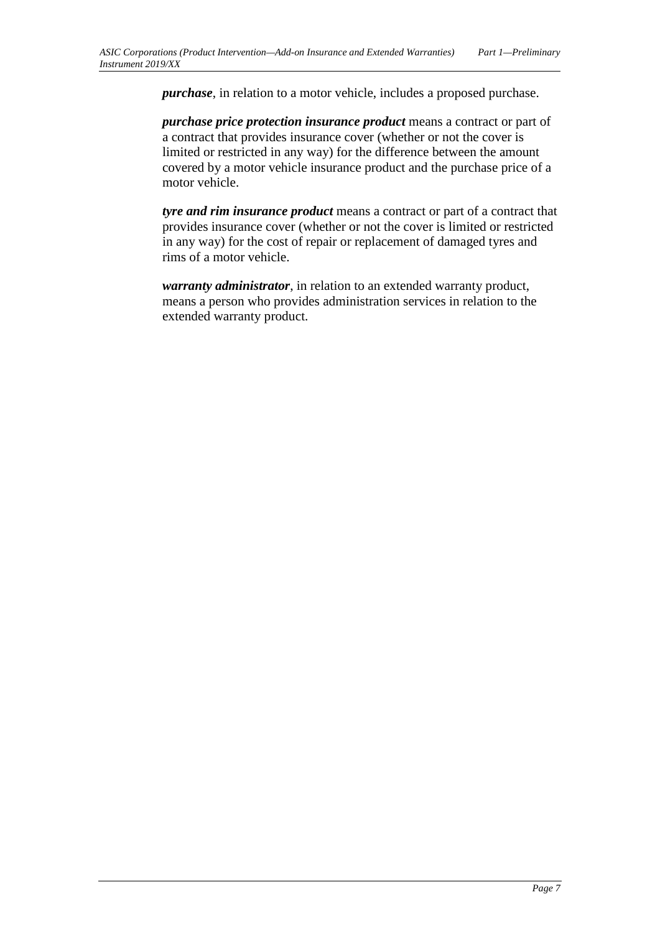*purchase*, in relation to a motor vehicle, includes a proposed purchase.

*purchase price protection insurance product* means a contract or part of a contract that provides insurance cover (whether or not the cover is limited or restricted in any way) for the difference between the amount covered by a motor vehicle insurance product and the purchase price of a motor vehicle.

*tyre and rim insurance product* means a contract or part of a contract that provides insurance cover (whether or not the cover is limited or restricted in any way) for the cost of repair or replacement of damaged tyres and rims of a motor vehicle.

*warranty administrator*, in relation to an extended warranty product, means a person who provides administration services in relation to the extended warranty product.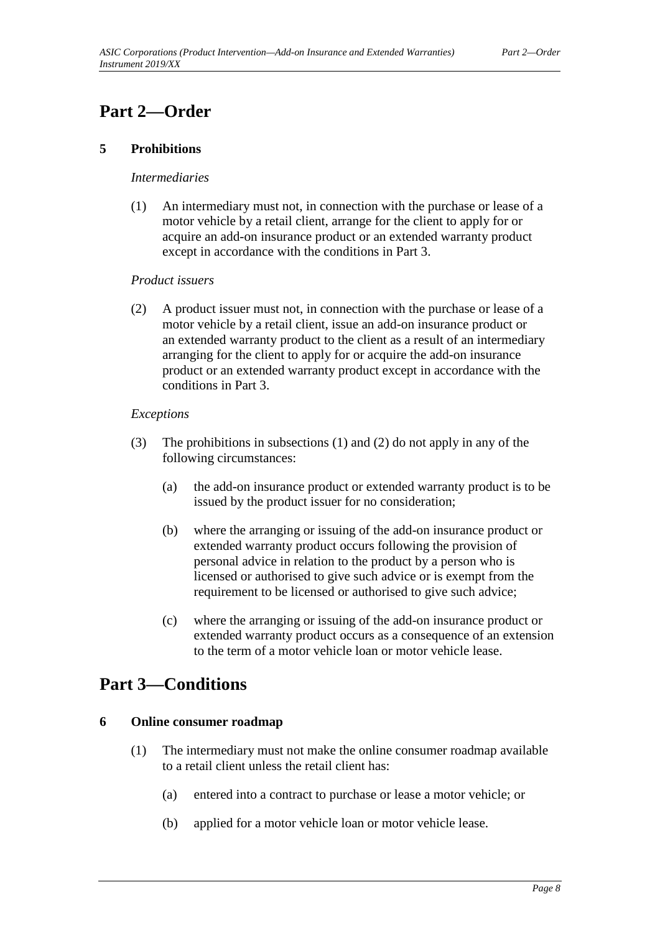### <span id="page-7-1"></span><span id="page-7-0"></span>**Part 2—Order**

#### **5 Prohibitions**

#### *Intermediaries*

(1) An intermediary must not, in connection with the purchase or lease of a motor vehicle by a retail client, arrange for the client to apply for or acquire an add-on insurance product or an extended warranty product except in accordance with the conditions in Part 3.

#### *Product issuers*

(2) A product issuer must not, in connection with the purchase or lease of a motor vehicle by a retail client, issue an add-on insurance product or an extended warranty product to the client as a result of an intermediary arranging for the client to apply for or acquire the add-on insurance product or an extended warranty product except in accordance with the conditions in Part 3.

#### *Exceptions*

- (3) The prohibitions in subsections (1) and (2) do not apply in any of the following circumstances:
	- (a) the add-on insurance product or extended warranty product is to be issued by the product issuer for no consideration;
	- (b) where the arranging or issuing of the add-on insurance product or extended warranty product occurs following the provision of personal advice in relation to the product by a person who is licensed or authorised to give such advice or is exempt from the requirement to be licensed or authorised to give such advice;
	- (c) where the arranging or issuing of the add-on insurance product or extended warranty product occurs as a consequence of an extension to the term of a motor vehicle loan or motor vehicle lease.

### <span id="page-7-3"></span><span id="page-7-2"></span>**Part 3—Conditions**

#### **6 Online consumer roadmap**

- (1) The intermediary must not make the online consumer roadmap available to a retail client unless the retail client has:
	- (a) entered into a contract to purchase or lease a motor vehicle; or
	- (b) applied for a motor vehicle loan or motor vehicle lease.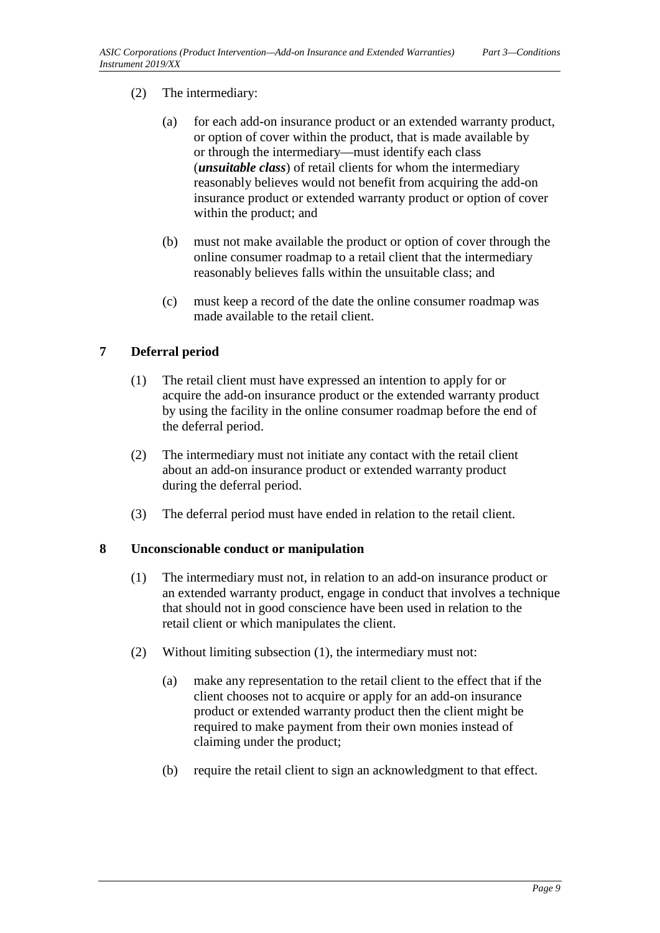#### (2) The intermediary:

- (a) for each add-on insurance product or an extended warranty product, or option of cover within the product, that is made available by or through the intermediary—must identify each class (*unsuitable class*) of retail clients for whom the intermediary reasonably believes would not benefit from acquiring the add-on insurance product or extended warranty product or option of cover within the product; and
- (b) must not make available the product or option of cover through the online consumer roadmap to a retail client that the intermediary reasonably believes falls within the unsuitable class; and
- (c) must keep a record of the date the online consumer roadmap was made available to the retail client.

#### <span id="page-8-0"></span>**7 Deferral period**

- (1) The retail client must have expressed an intention to apply for or acquire the add-on insurance product or the extended warranty product by using the facility in the online consumer roadmap before the end of the deferral period.
- (2) The intermediary must not initiate any contact with the retail client about an add-on insurance product or extended warranty product during the deferral period.
- (3) The deferral period must have ended in relation to the retail client.

#### <span id="page-8-1"></span>**8 Unconscionable conduct or manipulation**

- (1) The intermediary must not, in relation to an add-on insurance product or an extended warranty product, engage in conduct that involves a technique that should not in good conscience have been used in relation to the retail client or which manipulates the client.
- <span id="page-8-2"></span>(2) Without limiting subsection (1), the intermediary must not:
	- (a) make any representation to the retail client to the effect that if the client chooses not to acquire or apply for an add-on insurance product or extended warranty product then the client might be required to make payment from their own monies instead of claiming under the product;
	- (b) require the retail client to sign an acknowledgment to that effect.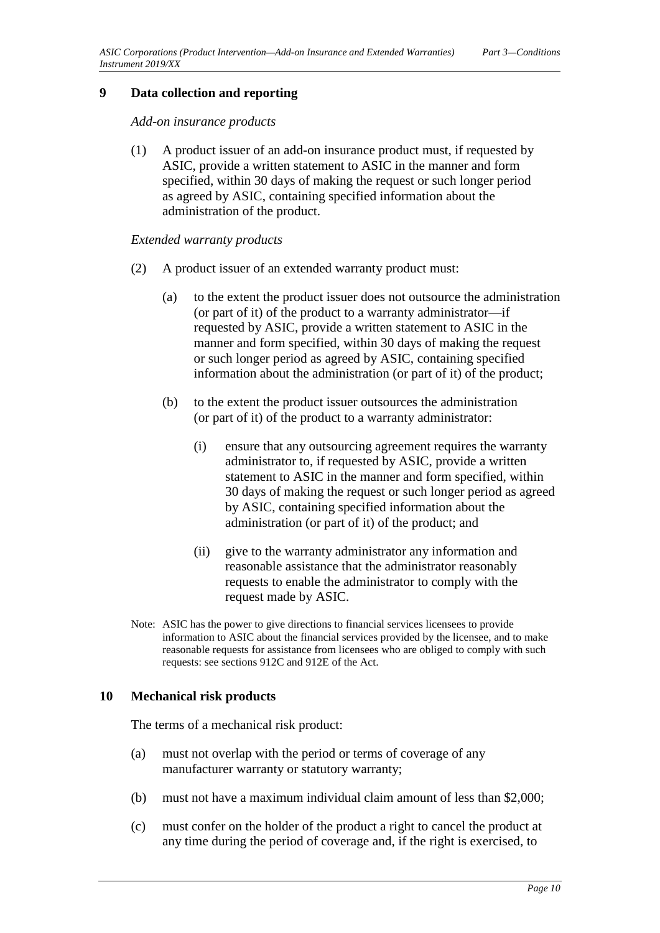#### **9 Data collection and reporting**

*Add-on insurance products*

(1) A product issuer of an add-on insurance product must, if requested by ASIC, provide a written statement to ASIC in the manner and form specified, within 30 days of making the request or such longer period as agreed by ASIC, containing specified information about the administration of the product.

#### *Extended warranty products*

- (2) A product issuer of an extended warranty product must:
	- (a) to the extent the product issuer does not outsource the administration (or part of it) of the product to a warranty administrator—if requested by ASIC, provide a written statement to ASIC in the manner and form specified, within 30 days of making the request or such longer period as agreed by ASIC, containing specified information about the administration (or part of it) of the product;
	- (b) to the extent the product issuer outsources the administration (or part of it) of the product to a warranty administrator:
		- (i) ensure that any outsourcing agreement requires the warranty administrator to, if requested by ASIC, provide a written statement to ASIC in the manner and form specified, within 30 days of making the request or such longer period as agreed by ASIC, containing specified information about the administration (or part of it) of the product; and
		- (ii) give to the warranty administrator any information and reasonable assistance that the administrator reasonably requests to enable the administrator to comply with the request made by ASIC.
- Note: ASIC has the power to give directions to financial services licensees to provide information to ASIC about the financial services provided by the licensee, and to make reasonable requests for assistance from licensees who are obliged to comply with such requests: see sections 912C and 912E of the Act.

#### <span id="page-9-0"></span>**10 Mechanical risk products**

The terms of a mechanical risk product:

- (a) must not overlap with the period or terms of coverage of any manufacturer warranty or statutory warranty;
- (b) must not have a maximum individual claim amount of less than \$2,000;
- (c) must confer on the holder of the product a right to cancel the product at any time during the period of coverage and, if the right is exercised, to